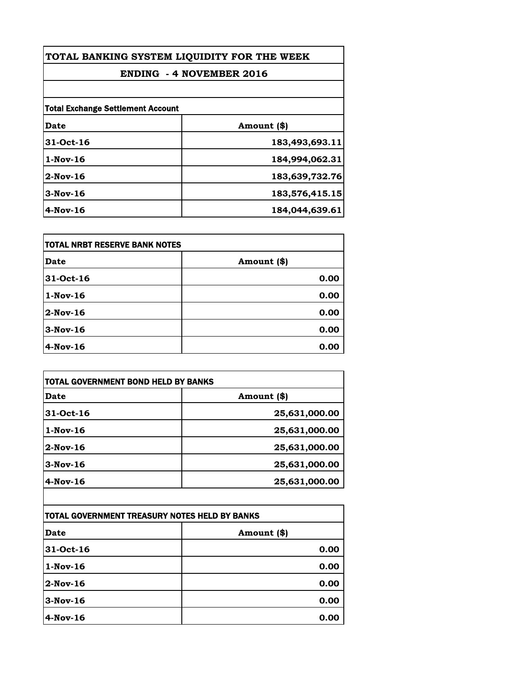| TOTAL BANKING SYSTEM LIQUIDITY FOR THE WEEK<br><b>ENDING - 4 NOVEMBER 2016</b> |                |
|--------------------------------------------------------------------------------|----------------|
|                                                                                |                |
| <b>Total Exchange Settlement Account</b>                                       |                |
| Date                                                                           | Amount (\$)    |
| 31-Oct-16                                                                      | 183,493,693.11 |
| $1-Nov-16$                                                                     | 184,994,062.31 |
| $2$ -Nov-16                                                                    | 183,639,732.76 |
| $3-Nov-16$                                                                     | 183,576,415.15 |
| $4$ -Nov-16                                                                    | 184,044,639.61 |

| itotal NRBT RESERVE BANK NOTES |             |
|--------------------------------|-------------|
| Date                           | Amount (\$) |
| 31-Oct-16                      | 0.00        |
| $1-Nov-16$                     | 0.00        |
| 2-Nov-16                       | 0.00        |
| $3-Nov-16$                     | 0.00        |
| 4-Nov-16                       | 0.00        |

| TOTAL GOVERNMENT BOND HELD BY BANKS           |               |
|-----------------------------------------------|---------------|
| <b>Date</b>                                   | Amount (\$)   |
| 31-Oct-16                                     | 25,631,000.00 |
| $1-Nov-16$                                    | 25,631,000.00 |
| $2$ -Nov-16                                   | 25,631,000.00 |
| $3-Nov-16$                                    | 25,631,000.00 |
| 4-Nov-16                                      | 25,631,000.00 |
|                                               |               |
| TOTAL GOVERNMENT TREASURY NOTES HELD BY BANKS |               |
| Date                                          | Amount (\$)   |
| 21.04.16                                      | מח ח          |

| <b>Date</b> | Amount (\$) |
|-------------|-------------|
| 31-Oct-16   | 0.00        |
| $1-Nov-16$  | 0.00        |
| $2-Nov-16$  | 0.00        |
| $3-Nov-16$  | 0.00        |
| $4-Nov-16$  | 0.00        |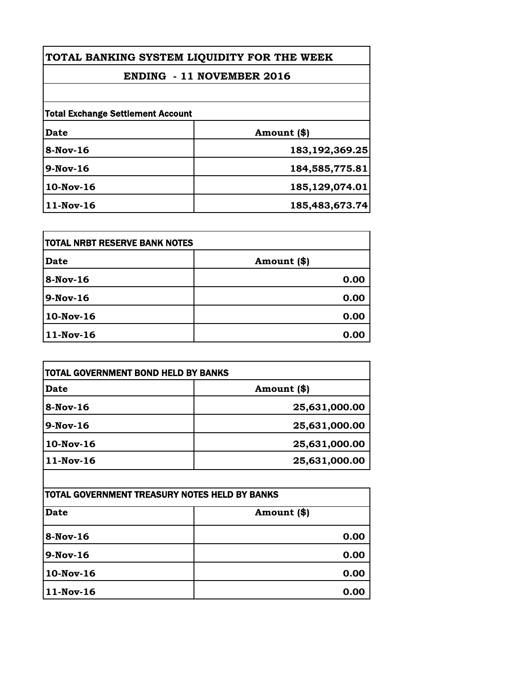**TOTAL BANKING SYSTEM LIQUIDITY FOR THE WEEK**

## **ENDING - 11 NOVEMBER 2016**

| <b>Total Exchange Settlement Account</b> |                   |
|------------------------------------------|-------------------|
| Date                                     | Amount (\$)       |
| $8-Nov-16$                               | 183, 192, 369. 25 |
| 9-Nov-16                                 | 184,585,775.81    |
| 10-Nov-16                                | 185,129,074.01    |
| 11-Nov-16                                | 185,483,673.74    |

| TOTAL NRBT RESERVE BANK NOTES |             |
|-------------------------------|-------------|
| <b>Date</b>                   | Amount (\$) |
| $8-Nov-16$                    | 0.00        |
| $9-Nov-16$                    | 0.00        |
| 10-Nov-16                     | 0.00        |
| 11-Nov-16                     | 0.00        |

| TOTAL GOVERNMENT BOND HELD BY BANKS |               |
|-------------------------------------|---------------|
| <b>Date</b>                         | Amount (\$)   |
| $8-Nov-16$                          | 25,631,000.00 |
| $9-Nov-16$                          | 25,631,000.00 |
| 10-Nov-16                           | 25,631,000.00 |
| $11-Nov-16$                         | 25,631,000.00 |

| TOTAL GOVERNMENT TREASURY NOTES HELD BY BANKS |             |  |
|-----------------------------------------------|-------------|--|
| <b>Date</b>                                   | Amount (\$) |  |
| 8-Nov-16                                      | 0.00        |  |
| $9-Nov-16$                                    | 0.00        |  |
| 10-Nov-16                                     | 0.00        |  |
| $11-Nov-16$                                   | 0.00        |  |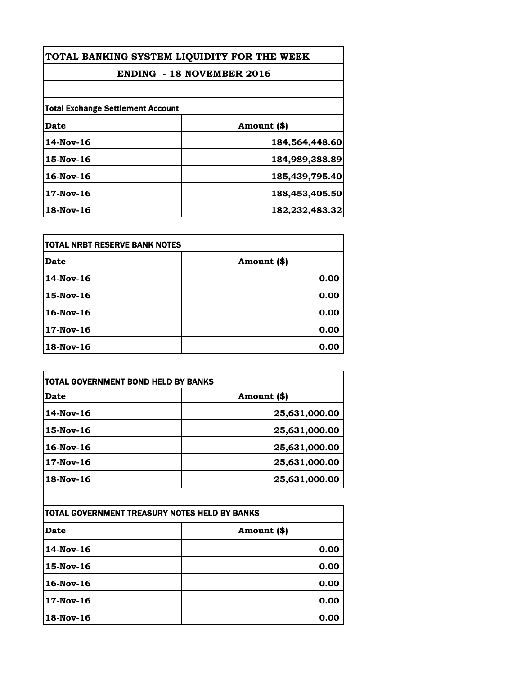| TOTAL BANKING SYSTEM LIQUIDITY FOR THE WEEK<br><b>ENDING - 18 NOVEMBER 2016</b> |                |
|---------------------------------------------------------------------------------|----------------|
|                                                                                 |                |
| <b>Total Exchange Settlement Account</b>                                        |                |
| Date                                                                            | Amount (\$)    |
| 14-Nov-16                                                                       | 184,564,448.60 |
| 15-Nov-16                                                                       | 184,989,388.89 |
| $16$ -Nov- $16$                                                                 | 185,439,795.40 |
| $17$ -Nov-16                                                                    | 188,453,405.50 |
| 18-Nov-16                                                                       | 182,232,483.32 |

| itotal NRBT RESERVE BANK NOTES |             |
|--------------------------------|-------------|
| <b>Date</b>                    | Amount (\$) |
| 14-Nov-16                      | 0.00        |
| 15-Nov-16                      | 0.00        |
| $16$ -Nov-16                   | 0.00        |
| 17-Nov-16                      | 0.00        |
| 18-Nov-16                      | 0.00        |

| TOTAL GOVERNMENT BOND HELD BY BANKS |               |
|-------------------------------------|---------------|
| Date                                | Amount (\$)   |
| 14-Nov-16                           | 25,631,000.00 |
| $15$ -Nov-16                        | 25,631,000.00 |
| $16$ -Nov- $16$                     | 25,631,000.00 |
| $17$ -Nov-16                        | 25,631,000.00 |
| $18-Nov-16$                         | 25,631,000.00 |

| ITOTAL GOVERNMENT TREASURY NOTES HELD BY BANKS |             |
|------------------------------------------------|-------------|
| <b>Date</b>                                    | Amount (\$) |
| 14-Nov-16                                      | 0.00        |
| 15-Nov-16                                      | 0.00        |
| 16-Nov-16                                      | 0.00        |
| 17-Nov-16                                      | 0.00        |
| 18-Nov-16                                      | 0.00        |